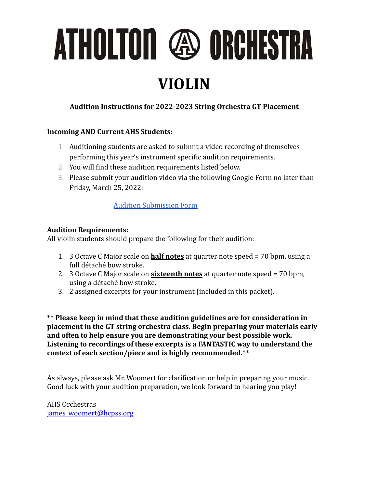# ATHOLTON @ ORCHESTRA

### **VIOLIN**

#### **Audition Instructions for 2022-2023 String Orchestra GT Placement**

#### **Incoming AND Current AHS Students:**

- 1. Auditioning students are asked to submit a video recording of themselves performing this year's instrument specific audition requirements.
- 2. You will find these audition requirements listed below.
- 3. Please submit your audition video via the following Google Form no later than Friday, March 25, 2022:

#### [Audition Submission Form](https://forms.gle/oHtR1A3Y7SwL3D3i7)

#### **Audition Requirements:**

All violin students should prepare the following for their audition:

- 1. 3 Octave C Major scale on **half notes** at quarter note speed = 70 bpm, using a full détaché bow stroke.
- 2. 3 Octave C Major scale on **sixteenth notes** at quarter note speed = 70 bpm, using a détaché bow stroke.
- 3. 2 assigned excerpts for your instrument (included in this packet).

**\*\* Please keep in mind that these audition guidelines are for consideration in placement in the GT string orchestra class. Begin preparing your materials early and often to help ensure you are demonstrating your best possible work. Listening to recordings of these excerpts is a FANTASTIC way to understand the context of each section/piece and is highly recommended.\*\***

As always, please ask Mr. Woomert for clarification or help in preparing your music. Good luck with your audition preparation, we look forward to hearing you play!

AHS Orchestras [james\\_woomert@hcpss.org](mailto:james_woomert@hcpss.org)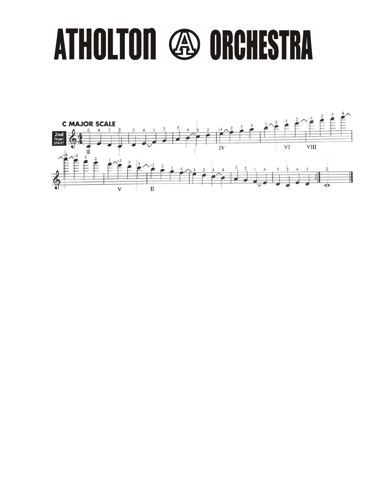## **THOLTON 49 ORCHESTRA** A